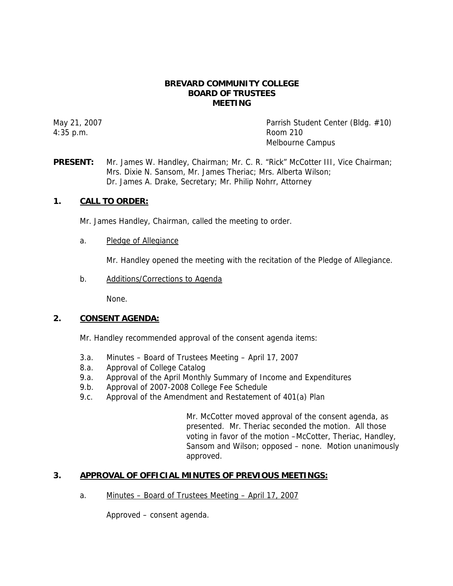### **BREVARD COMMUNITY COLLEGE BOARD OF TRUSTEES MEETING**

4:35 p.m. Room 210

May 21, 2007 **Parrish Student Center (Bldg. #10)** Parrish Student Center (Bldg. #10) Melbourne Campus

**PRESENT:** Mr. James W. Handley, Chairman; Mr. C. R. "Rick" McCotter III, Vice Chairman; Mrs. Dixie N. Sansom, Mr. James Theriac; Mrs. Alberta Wilson; Dr. James A. Drake, Secretary; Mr. Philip Nohrr, Attorney

# **1. CALL TO ORDER:**

Mr. James Handley, Chairman, called the meeting to order.

a. Pledge of Allegiance

Mr. Handley opened the meeting with the recitation of the Pledge of Allegiance.

b. Additions/Corrections to Agenda

None.

### **2. CONSENT AGENDA:**

Mr. Handley recommended approval of the consent agenda items:

- 3.a. Minutes Board of Trustees Meeting April 17, 2007
- 8.a. Approval of College Catalog
- 9.a. Approval of the April Monthly Summary of Income and Expenditures
- 9.b. Approval of 2007-2008 College Fee Schedule
- 9.c. Approval of the Amendment and Restatement of 401(a) Plan

Mr. McCotter moved approval of the consent agenda, as presented. Mr. Theriac seconded the motion. All those voting in favor of the motion –McCotter, Theriac, Handley, Sansom and Wilson; opposed – none. Motion unanimously approved.

# **3. APPROVAL OF OFFICIAL MINUTES OF PREVIOUS MEETINGS:**

a. Minutes – Board of Trustees Meeting – April 17, 2007

Approved – consent agenda.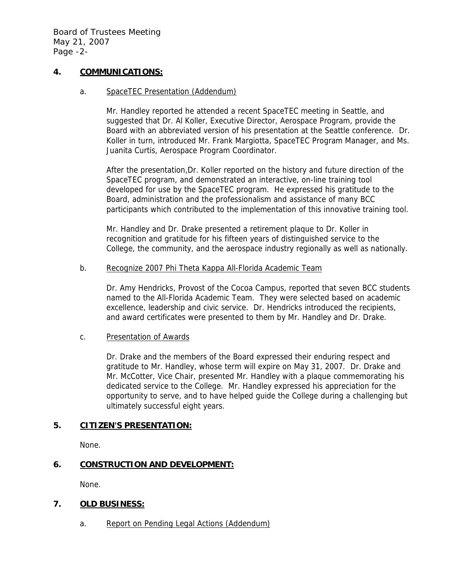### **4. COMMUNICATIONS:**

### a. SpaceTEC Presentation (Addendum)

Mr. Handley reported he attended a recent SpaceTEC meeting in Seattle, and suggested that Dr. Al Koller, Executive Director, Aerospace Program, provide the Board with an abbreviated version of his presentation at the Seattle conference. Dr. Koller in turn, introduced Mr. Frank Margiotta, SpaceTEC Program Manager, and Ms. Juanita Curtis, Aerospace Program Coordinator.

After the presentation,Dr. Koller reported on the history and future direction of the SpaceTEC program, and demonstrated an interactive, on-line training tool developed for use by the SpaceTEC program. He expressed his gratitude to the Board, administration and the professionalism and assistance of many BCC participants which contributed to the implementation of this innovative training tool.

Mr. Handley and Dr. Drake presented a retirement plaque to Dr. Koller in recognition and gratitude for his fifteen years of distinguished service to the College, the community, and the aerospace industry regionally as well as nationally.

#### b. Recognize 2007 Phi Theta Kappa All-Florida Academic Team

Dr. Amy Hendricks, Provost of the Cocoa Campus, reported that seven BCC students named to the All-Florida Academic Team. They were selected based on academic excellence, leadership and civic service. Dr. Hendricks introduced the recipients, and award certificates were presented to them by Mr. Handley and Dr. Drake.

### c. Presentation of Awards

Dr. Drake and the members of the Board expressed their enduring respect and gratitude to Mr. Handley, whose term will expire on May 31, 2007. Dr. Drake and Mr. McCotter, Vice Chair, presented Mr. Handley with a plaque commemorating his dedicated service to the College. Mr. Handley expressed his appreciation for the opportunity to serve, and to have helped guide the College during a challenging but ultimately successful eight years.

### **5. CITIZEN'S PRESENTATION:**

None.

# **6. CONSTRUCTION AND DEVELOPMENT:**

None.

# **7. OLD BUSINESS:**

a. Report on Pending Legal Actions (Addendum)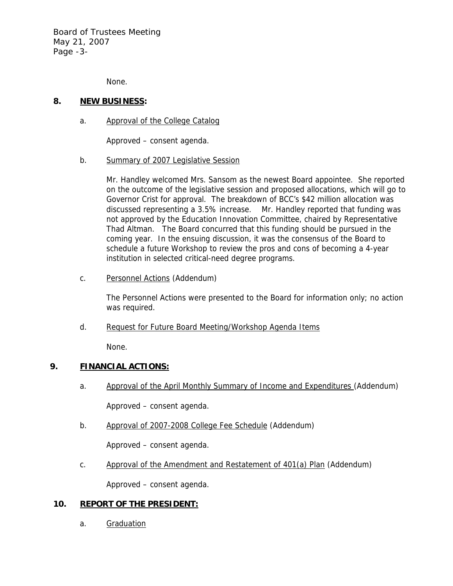Board of Trustees Meeting May 21, 2007 Page -3-

None.

### **8. NEW BUSINESS:**

a. Approval of the College Catalog

Approved – consent agenda.

b. Summary of 2007 Legislative Session

Mr. Handley welcomed Mrs. Sansom as the newest Board appointee. She reported on the outcome of the legislative session and proposed allocations, which will go to Governor Crist for approval. The breakdown of BCC's \$42 million allocation was discussed representing a 3.5% increase. Mr. Handley reported that funding was not approved by the Education Innovation Committee, chaired by Representative Thad Altman. The Board concurred that this funding should be pursued in the coming year. In the ensuing discussion, it was the consensus of the Board to schedule a future Workshop to review the pros and cons of becoming a 4-year institution in selected critical-need degree programs.

c. Personnel Actions (Addendum)

The Personnel Actions were presented to the Board for information only; no action was required.

d. Request for Future Board Meeting/Workshop Agenda Items

None.

# **9. FINANCIAL ACTIONS:**

a. Approval of the April Monthly Summary of Income and Expenditures (Addendum)

Approved – consent agenda.

b. Approval of 2007-2008 College Fee Schedule (Addendum)

Approved – consent agenda.

c. Approval of the Amendment and Restatement of 401(a) Plan (Addendum)

Approved – consent agenda.

### **10. REPORT OF THE PRESIDENT:**

a. Graduation